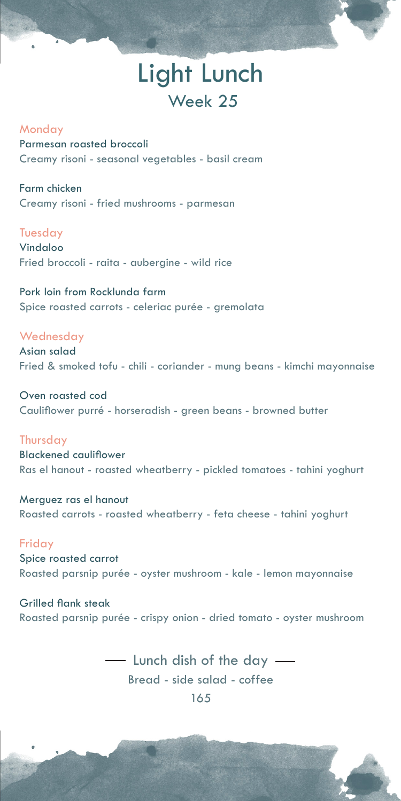# Light Lunch Week 25

#### Monday

Parmesan roasted broccoli Creamy risoni - seasonal vegetables - basil cream

Farm chicken Creamy risoni - fried mushrooms - parmesan

Tuesday

Vindaloo Fried broccoli - raita - aubergine - wild rice

Pork loin from Rocklunda farm Spice roasted carrots - celeriac purée - gremolata

**Wednesday** 

Asian salad Fried & smoked tofu - chili - coriander - mung beans - kimchi mayonnaise

Oven roasted cod Cauliflower purré - horseradish - green beans - browned butter

**Thursday** 

Blackened cauliflower Ras el hanout - roasted wheatberry - pickled tomatoes - tahini yoghurt

Merguez ras el hanout Roasted carrots - roasted wheatberry - feta cheese - tahini yoghurt

Friday Spice roasted carrot

Roasted parsnip purée - oyster mushroom - kale - lemon mayonnaise

Grilled flank steak Roasted parsnip purée - crispy onion - dried tomato - oyster mushroom

> - Lunch dish of the day Bread - side salad - coffee 165